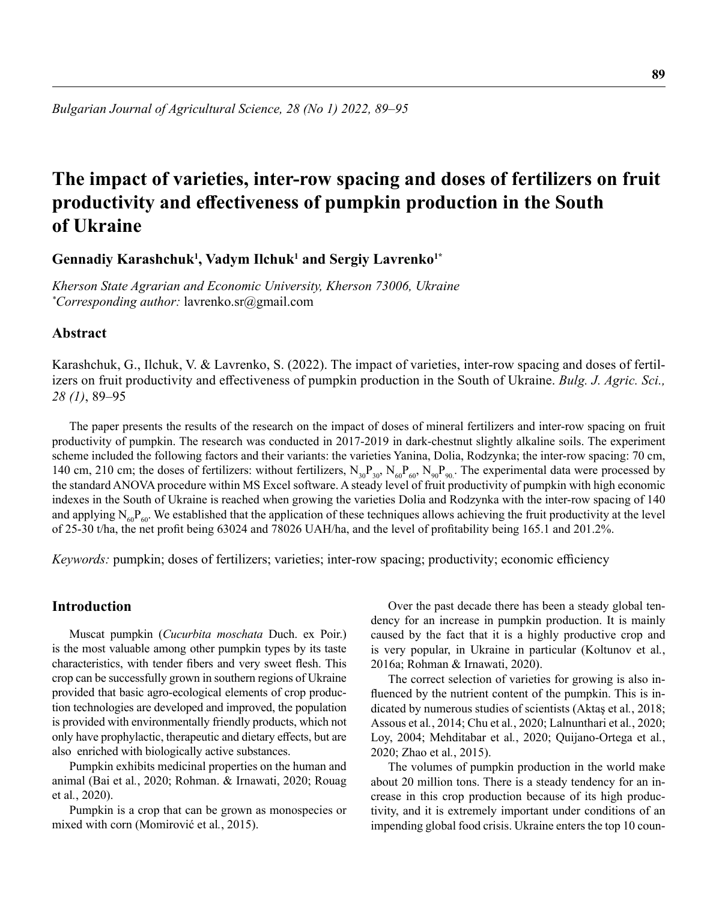# **The impact of varieties, inter-row spacing and doses of fertilizers on fruit productivity and effectiveness of pumpkin production in the South of Ukraine**

**Gennadiy Karashchuk<sup>1</sup> , Vadym Ilchuk<sup>1</sup> and Sergiy Lavrenko1\***

*Kherson State Agrarian and Economic University, Kherson 73006, Ukraine \* Corresponding author:* lavrenko.sr@gmail.com

#### **Abstract**

Karashchuk, G., Ilchuk, V. & Lavrenko, S. (2022). The impact of varieties, inter-row spacing and doses of fertilizers on fruit productivity and effectiveness of pumpkin production in the South of Ukraine. *Bulg. J. Agric. Sci., 28 (1)*, 89–95

The paper presents the results of the research on the impact of doses of mineral fertilizers and inter-row spacing on fruit productivity of pumpkin. The research was conducted in 2017-2019 in dark-chestnut slightly alkaline soils. The experiment scheme included the following factors and their variants: the varieties Yanina, Dolia, Rodzynka; the inter-row spacing: 70 cm, 140 cm, 210 cm; the doses of fertilizers: without fertilizers,  $N_{30}P_{30}$ ,  $N_{60}P_{60}$ ,  $N_{90}P_{90}$ . The experimental data were processed by the standard ANOVA procedure within MS Excel software. A steady level of fruit productivity of pumpkin with high economic indexes in the South of Ukraine is reached when growing the varieties Dolia and Rodzynka with the inter-row spacing of 140 and applying  $N_{60}P_{60}$ . We established that the application of these techniques allows achieving the fruit productivity at the level of 25-30 t/ha, the net profit being 63024 and 78026 UAH/ha, and the level of profitability being 165.1 and 201.2%.

*Keywords:* pumpkin; doses of fertilizers; varieties; inter-row spacing; productivity; economic efficiency

#### **Introduction**

Muscat pumpkin (*Cucurbita moschata* Duch. ex Poir.) is the most valuable among other pumpkin types by its taste characteristics, with tender fibers and very sweet flesh. This crop can be successfully grown in southern regions of Ukraine provided that basic agro-ecological elements of crop production technologies are developed and improved, the population is provided with environmentally friendly products, which not only have prophylactic, therapeutic and dietary effects, but are also enriched with biologically active substances.

Pumpkin exhibits medicinal properties on the human and animal (Bai et al*.*, 2020; Rohman. & Irnawati, 2020; Rouag et al*.*, 2020).

Pumpkin is a crop that can be grown as monospecies or mixed with corn (Momirović et al*.*, 2015).

Over the past decade there has been a steady global tendency for an increase in pumpkin production. It is mainly caused by the fact that it is a highly productive crop and is very popular, in Ukraine in particular (Koltunov et al*.*, 2016a; Rohman & Irnawati, 2020).

The correct selection of varieties for growing is also influenced by the nutrient content of the pumpkin. This is indicated by numerous studies of scientists (Aktaş et al*.*, 2018; Assous et al*.*, 2014; Chu et al*.*, 2020; Lalnunthari et al*.*, 2020; Loy, 2004; Mehditabar et al*.*, 2020; Quijano-Ortega et al*.*, 2020; Zhao et al*.*, 2015).

The volumes of pumpkin production in the world make about 20 million tons. There is a steady tendency for an increase in this crop production because of its high productivity, and it is extremely important under conditions of an impending global food crisis. Ukraine enters the top 10 coun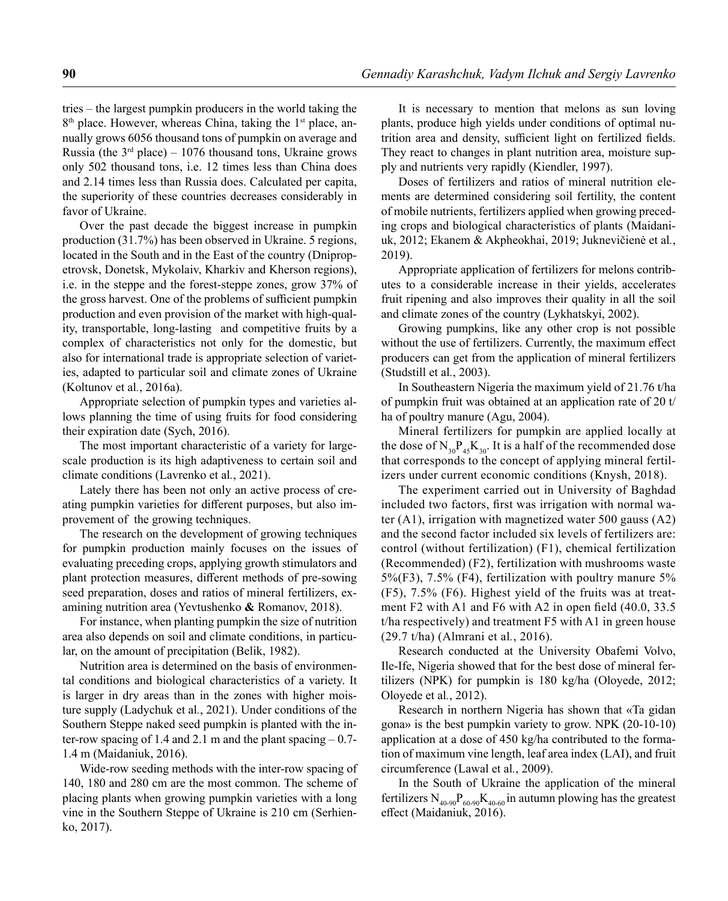tries – the largest pumpkin producers in the world taking the  $8<sup>th</sup>$  place. However, whereas China, taking the 1<sup>st</sup> place, annually grows 6056 thousand tons of pumpkin on average and Russia (the  $3<sup>rd</sup>$  place) – 1076 thousand tons, Ukraine grows only 502 thousand tons, i.e. 12 times less than China does and 2.14 times less than Russia does. Calculated per capita, the superiority of these countries decreases considerably in favor of Ukraine.

Over the past decade the biggest increase in pumpkin production (31.7%) has been observed in Ukraine. 5 regions, located in the South and in the East of the country (Dnipropetrovsk, Donetsk, Mykolaiv, Kharkiv and Kherson regions), i.e. in the steppe and the forest-steppe zones, grow 37% of the gross harvest. One of the problems of sufficient pumpkin production and even provision of the market with high-quality, transportable, long-lasting and competitive fruits by a complex of characteristics not only for the domestic, but also for international trade is appropriate selection of varieties, adapted to particular soil and climate zones of Ukraine (Koltunov et al*.*, 2016a).

Appropriate selection of pumpkin types and varieties allows planning the time of using fruits for food considering their expiration date (Sych, 2016).

The most important characteristic of a variety for largescale production is its high adaptiveness to certain soil and climate conditions (Lavrenko et al*.*, 2021).

Lately there has been not only an active process of creating pumpkin varieties for different purposes, but also improvement of the growing techniques.

The research on the development of growing techniques for pumpkin production mainly focuses on the issues of evaluating preceding crops, applying growth stimulators and plant protection measures, different methods of pre-sowing seed preparation, doses and ratios of mineral fertilizers, examining nutrition area (Yevtushenko **&** Romanov, 2018).

For instance, when planting pumpkin the size of nutrition area also depends on soil and climate conditions, in particular, on the amount of precipitation (Belik, 1982).

Nutrition area is determined on the basis of environmental conditions and biological characteristics of a variety. It is larger in dry areas than in the zones with higher moisture supply (Ladychuk et al*.*, 2021). Under conditions of the Southern Steppe naked seed pumpkin is planted with the inter-row spacing of 1.4 and 2.1 m and the plant spacing  $-0.7$ -1.4 m (Maidaniuk, 2016).

Wide-row seeding methods with the inter-row spacing of 140, 180 and 280 cm are the most common. The scheme of placing plants when growing pumpkin varieties with a long vine in the Southern Steppe of Ukraine is 210 cm (Serhienko, 2017).

It is necessary to mention that melons as sun loving plants, produce high yields under conditions of optimal nutrition area and density, sufficient light on fertilized fields. They react to changes in plant nutrition area, moisture supply and nutrients very rapidly (Kiendler, 1997).

Doses of fertilizers and ratios of mineral nutrition elements are determined considering soil fertility, the content of mobile nutrients, fertilizers applied when growing preceding crops and biological characteristics of plants (Maidaniuk, 2012; Ekanem & Akpheokhai, 2019; Juknevičienė et al*.*, 2019).

Appropriate application of fertilizers for melons contributes to a considerable increase in their yields, accelerates fruit ripening and also improves their quality in all the soil and climate zones of the country (Lykhatskyi, 2002).

Growing pumpkins, like any other crop is not possible without the use of fertilizers. Currently, the maximum effect producers can get from the application of mineral fertilizers (Studstill et al*.*, 2003).

In Southeastern Nigeria the maximum yield of 21.76 t/ha of pumpkin fruit was obtained at an application rate of 20 t/ ha of poultry manure (Agu, 2004).

Mineral fertilizers for pumpkin are applied locally at the dose of  $N_{30}P_{45}K_{30}$ . It is a half of the recommended dose that corresponds to the concept of applying mineral fertilizers under current economic conditions (Knysh, 2018).

The experiment carried out in University of Baghdad included two factors, first was irrigation with normal water (A1), irrigation with magnetized water 500 gauss (A2) and the second factor included six levels of fertilizers are: control (without fertilization) (F1), chemical fertilization (Recommended) (F2), fertilization with mushrooms waste 5%(F3), 7.5% (F4), fertilization with poultry manure 5% (F5), 7.5% (F6). Highest yield of the fruits was at treatment F2 with A1 and F6 with A2 in open field (40.0, 33.5 t/ha respectively) and treatment F5 with A1 in green house (29.7 t/ha) (Almrani et al*.*, 2016).

Research conducted at the University Obafemi Volvo, Ile-Ife, Nigeria showed that for the best dose of mineral fertilizers (NPK) for pumpkin is 180 kg/ha (Oloyede, 2012; Oloyede et al*.*, 2012).

Research in northern Nigeria has shown that «Ta gidan gona» is the best pumpkin variety to grow. NPK (20-10-10) application at a dose of 450 kg/ha contributed to the formation of maximum vine length, leaf area index (LAI), and fruit circumference (Lawal et al*.*, 2009).

In the South of Ukraine the application of the mineral fertilizers  $N_{40.90}P_{60.90}K_{40.60}$  in autumn plowing has the greatest effect (Maidaniuk, 2016).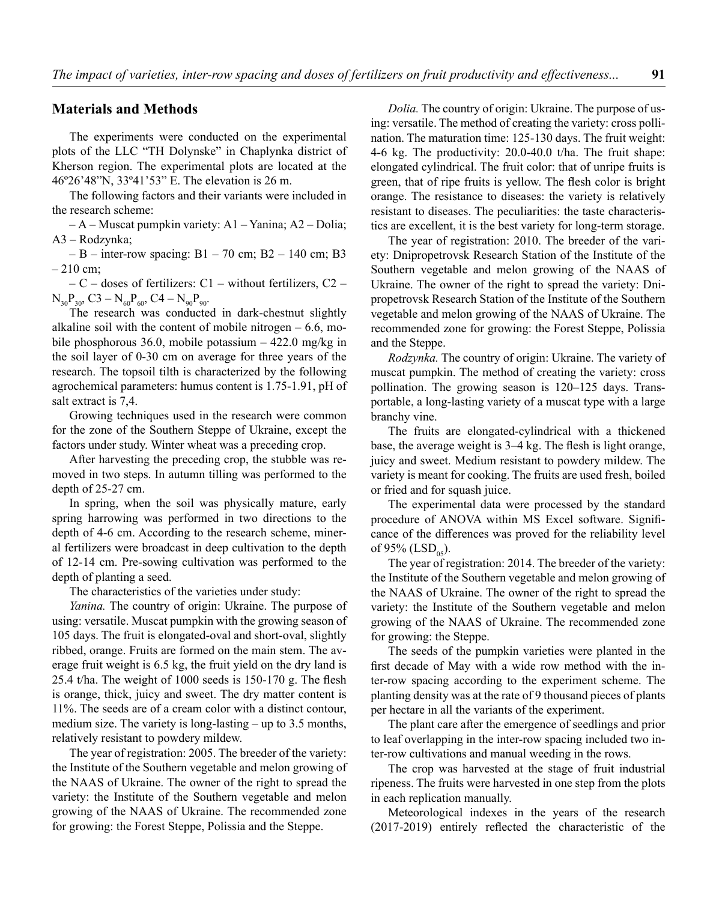#### **Materials and Methods**

The experiments were conducted on the experimental plots of the LLC "TH Dolynske" in Chaplynka district of Kherson region. The experimental plots are located at the 46º26'48"N, 33º41'53" E. The elevation is 26 m.

The following factors and their variants were included in the research scheme:

– А – Muscat pumpkin variety: А1 – Yanina; А2 – Dolia; А3 – Rodzynka;

– В – inter-row spacing:  $B1 - 70$  cm;  $B2 - 140$  cm; B3  $-210$  cm;

– С – doses of fertilizers: С1 – without fertilizers, С2 –  $N_{30}P_{30}$ , C3 –  $N_{60}P_{60}$ , C4 –  $N_{90}P_{90}$ .

The research was conducted in dark-chestnut slightly alkaline soil with the content of mobile nitrogen  $-6.6$ , mobile phosphorous 36.0, mobile potassium – 422.0 mg/kg in the soil layer of 0-30 cm on average for three years of the research. The topsoil tilth is characterized by the following agrochemical parameters: humus content is 1.75-1.91, pH of salt extract is 7,4.

Growing techniques used in the research were common for the zone of the Southern Steppe of Ukraine, except the factors under study. Winter wheat was a preceding crop.

After harvesting the preceding crop, the stubble was removed in two steps. In autumn tilling was performed to the depth of 25-27 cm.

In spring, when the soil was physically mature, early spring harrowing was performed in two directions to the depth of 4-6 cm. According to the research scheme, mineral fertilizers were broadcast in deep cultivation to the depth of 12-14 cm. Pre-sowing cultivation was performed to the depth of planting a seed.

The characteristics of the varieties under study:

*Yanina.* The country of origin: Ukraine. The purpose of using: versatile. Muscat pumpkin with the growing season of 105 days. The fruit is elongated-oval and short-oval, slightly ribbed, orange. Fruits are formed on the main stem. The average fruit weight is 6.5 kg, the fruit yield on the dry land is 25.4 t/ha. The weight of 1000 seeds is 150-170 g. The flesh is orange, thick, juicy and sweet. The dry matter content is 11%. The seeds are of a cream color with a distinct contour, medium size. The variety is long-lasting – up to 3.5 months, relatively resistant to powdery mildew.

The year of registration: 2005. The breeder of the variety: the Institute of the Southern vegetable and melon growing of the NAAS of Ukraine. The owner of the right to spread the variety: the Institute of the Southern vegetable and melon growing of the NAAS of Ukraine. The recommended zone for growing: the Forest Steppe, Polissia and the Steppe.

*Dolia.* The country of origin: Ukraine. The purpose of using: versatile. The method of creating the variety: cross pollination. The maturation time: 125-130 days. The fruit weight: 4-6 kg. The productivity: 20.0-40.0 t/ha. The fruit shape: elongated cylindrical. The fruit color: that of unripe fruits is green, that of ripe fruits is yellow. The flesh color is bright orange. The resistance to diseases: the variety is relatively resistant to diseases. The peculiarities: the taste characteristics are excellent, it is the best variety for long-term storage.

The year of registration: 2010. The breeder of the variety: Dnipropetrovsk Research Station of the Institute of the Southern vegetable and melon growing of the NAAS of Ukraine. The owner of the right to spread the variety: Dnipropetrovsk Research Station of the Institute of the Southern vegetable and melon growing of the NAAS of Ukraine. The recommended zone for growing: the Forest Steppe, Polissia and the Steppe.

*Rodzynka.* The country of origin: Ukraine. The variety of muscat pumpkin. The method of creating the variety: cross pollination. The growing season is 120–125 days. Transportable, a long-lasting variety of a muscat type with a large branchy vine.

The fruits are elongated-cylindrical with a thickened base, the average weight is 3–4 kg. The flesh is light orange, juicy and sweet. Medium resistant to powdery mildew. The variety is meant for cooking. The fruits are used fresh, boiled or fried and for squash juice.

The experimental data were processed by the standard procedure of ANOVA within MS Excel software. Significance of the differences was proved for the reliability level of 95% (LSD<sub>05</sub>).

The year of registration: 2014. The breeder of the variety: the Institute of the Southern vegetable and melon growing of the NAAS of Ukraine. The owner of the right to spread the variety: the Institute of the Southern vegetable and melon growing of the NAAS of Ukraine. The recommended zone for growing: the Steppe.

The seeds of the pumpkin varieties were planted in the first decade of May with a wide row method with the inter-row spacing according to the experiment scheme. The planting density was at the rate of 9 thousand pieces of plants per hectare in all the variants of the experiment.

The plant care after the emergence of seedlings and prior to leaf overlapping in the inter-row spacing included two inter-row cultivations and manual weeding in the rows.

The crop was harvested at the stage of fruit industrial ripeness. The fruits were harvested in one step from the plots in each replication manually.

Meteorological indexes in the years of the research (2017-2019) entirely reflected the characteristic of the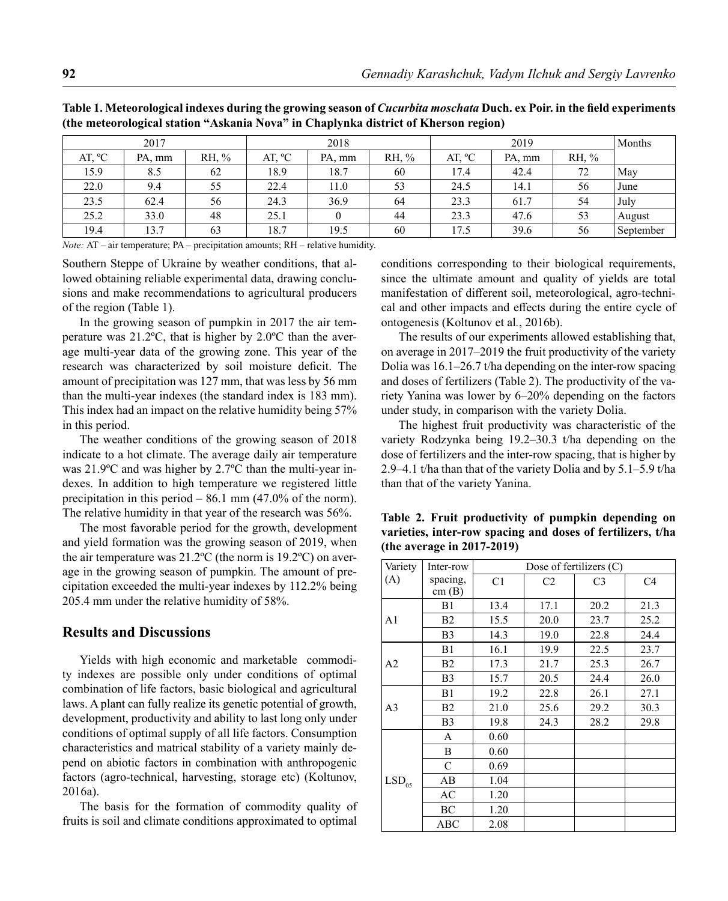| 2017            |        |       | 2018   |        |       | 2019            |        |       | Months    |
|-----------------|--------|-------|--------|--------|-------|-----------------|--------|-------|-----------|
| AT, $^{\circ}C$ | PA, mm | RH, % | AT, °C | PA, mm | RH, % | AT, $^{\circ}C$ | PA, mm | RH, % |           |
| 15.9            | 8.5    | 62    | 18.9   | 18.7   | 60    | 17.4            | 42.4   | 72    | May       |
| 22.0            | 9.4    | 55    | 22.4   | 11.0   | 53    | 24.5            | 14.1   | 56    | June      |
| 23.5            | 62.4   | 56    | 24.3   | 36.9   | 64    | 23.3            | 61.7   | 54    | July      |
| 25.2            | 33.0   | 48    | 25.1   |        | 44    | 23.3            | 47.6   | 53    | August    |
| 19.4            | 13.7   | 63    | 18.7   | 19.5   | 60    | 17.5            | 39.6   | 56    | September |

**Table 1. Meteorological indexes during the growing season of** *Cucurbita moschata* **Duch. ex Poir. in the field experiments (the meteorological station "Askania Nova" in Chaplynka district of Kherson region)**

*Note:* AT – air temperature; PA – precipitation amounts; RH – relative humidity.

Southern Steppe of Ukraine by weather conditions, that allowed obtaining reliable experimental data, drawing conclusions and make recommendations to agricultural producers of the region (Table 1).

In the growing season of pumpkin in 2017 the air temperature was 21.2ºС, that is higher by 2.0ºС than the average multi-year data of the growing zone. This year of the research was characterized by soil moisture deficit. The amount of precipitation was 127 mm, that was less by 56 mm than the multi-year indexes (the standard index is 183 mm). This index had an impact on the relative humidity being 57% in this period.

The weather conditions of the growing season of 2018 indicate to a hot climate. The average daily air temperature was 21.9ºС and was higher by 2.7ºС than the multi-year indexes. In addition to high temperature we registered little precipitation in this period – 86.1 mm (47.0% of the norm). The relative humidity in that year of the research was 56%.

The most favorable period for the growth, development and yield formation was the growing season of 2019, when the air temperature was 21.2ºС (the norm is 19.2ºС) on average in the growing season of pumpkin. The amount of precipitation exceeded the multi-year indexes by 112.2% being 205.4 mm under the relative humidity of 58%.

#### **Results and Discussions**

Yields with high economic and marketable commodity indexes are possible only under conditions of optimal combination of life factors, basic biological and agricultural laws. A plant can fully realize its genetic potential of growth, development, productivity and ability to last long only under conditions of optimal supply of all life factors. Consumption characteristics and matrical stability of a variety mainly depend on abiotic factors in combination with anthropogenic factors (agro-technical, harvesting, storage etc) (Koltunov, 2016a).

The basis for the formation of commodity quality of fruits is soil and climate conditions approximated to optimal conditions corresponding to their biological requirements, since the ultimate amount and quality of yields are total manifestation of different soil, meteorological, agro-technical and other impacts and effects during the entire cycle of ontogenesis (Koltunov et al*.*, 2016b).

The results of our experiments allowed establishing that, on average in 2017–2019 the fruit productivity of the variety Dolia was 16.1–26.7 t/ha depending on the inter-row spacing and doses of fertilizers (Table 2). The productivity of the variety Yanina was lower by 6–20% depending on the factors under study, in comparison with the variety Dolia.

The highest fruit productivity was characteristic of the variety Rodzynka being 19.2–30.3 t/ha depending on the dose of fertilizers and the inter-row spacing, that is higher by 2.9–4.1 t/ha than that of the variety Dolia and by 5.1–5.9 t/ha than that of the variety Yanina.

| Variety           | Inter-row         | Dose of fertilizers (C) |                |                |                |  |  |
|-------------------|-------------------|-------------------------|----------------|----------------|----------------|--|--|
| (A)               | spacing,<br>cm(B) | C <sub>1</sub>          | C <sub>2</sub> | C <sub>3</sub> | C <sub>4</sub> |  |  |
|                   | B1                | 13.4                    | 17.1           | 20.2           | 21.3           |  |  |
| A <sub>1</sub>    | B2                | 15.5                    | 20.0           | 23.7           | 25.2           |  |  |
|                   | B <sub>3</sub>    | 14.3                    | 19.0           | 22.8           | 24.4           |  |  |
|                   | B1                | 16.1                    | 19.9           | 22.5           | 23.7           |  |  |
| A2                | B2                | 17.3                    | 21.7           | 25.3           | 26.7           |  |  |
|                   | B <sub>3</sub>    | 15.7                    | 20.5           | 24.4           | 26.0           |  |  |
|                   | B1                | 19.2                    | 22.8           | 26.1           | 27.1           |  |  |
| A <sub>3</sub>    | B <sub>2</sub>    | 21.0                    | 25.6           | 29.2           | 30.3           |  |  |
|                   | B <sub>3</sub>    | 19.8                    | 24.3           | 28.2           | 29.8           |  |  |
| LSD <sub>05</sub> | A                 | 0.60                    |                |                |                |  |  |
|                   | B                 | 0.60                    |                |                |                |  |  |
|                   | $\mathcal{C}$     | 0.69                    |                |                |                |  |  |
|                   | AB                | 1.04                    |                |                |                |  |  |
|                   | AC                | 1.20                    |                |                |                |  |  |
|                   | BC                | 1.20                    |                |                |                |  |  |
|                   | <b>ABC</b>        | 2.08                    |                |                |                |  |  |

**Table 2. Fruit productivity of pumpkin depending on varieties, inter-row spacing and doses of fertilizers, t/ha (the average in 2017-2019)**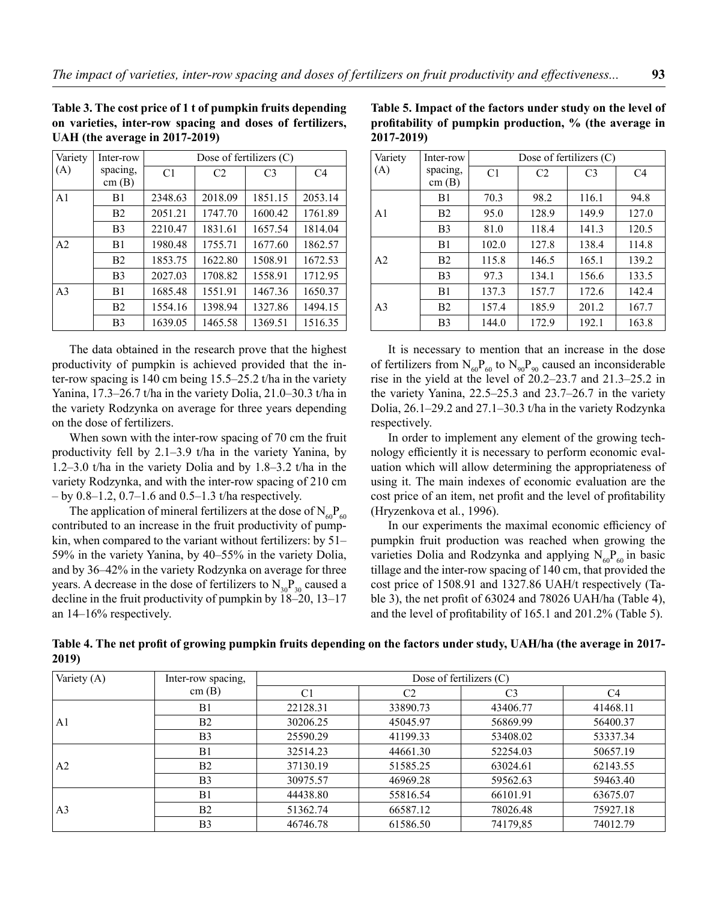**Table 3. The cost price of 1 t of pumpkin fruits depending on varieties, inter-row spacing and doses of fertilizers, UAH (the average in 2017-2019)**

| Variety        | Inter-row         | Dose of fertilizers $(C)$ |                |                |                |  |
|----------------|-------------------|---------------------------|----------------|----------------|----------------|--|
| (A)            | spacing,<br>cm(B) | C <sub>1</sub>            | C <sub>2</sub> | C <sub>3</sub> | C <sub>4</sub> |  |
| A <sub>1</sub> | B1                | 2348.63                   | 2018.09        | 1851.15        | 2053.14        |  |
|                | B <sub>2</sub>    | 2051.21                   | 1747.70        | 1600.42        | 1761.89        |  |
|                | B <sub>3</sub>    | 2210.47                   | 1831.61        | 1657.54        | 1814.04        |  |
| A <sub>2</sub> | B1                | 1980.48                   | 1755.71        | 1677.60        | 1862.57        |  |
|                | B <sub>2</sub>    | 1853.75                   | 1622.80        | 1508.91        | 1672.53        |  |
|                | B <sub>3</sub>    | 2027.03                   | 1708.82        | 1558.91        | 1712.95        |  |
| A <sub>3</sub> | B1                | 1685.48                   | 1551.91        | 1467.36        | 1650.37        |  |
|                | B <sub>2</sub>    | 1554.16                   | 1398.94        | 1327.86        | 1494.15        |  |
|                | B <sub>3</sub>    | 1639.05                   | 1465.58        | 1369.51        | 1516.35        |  |

The data obtained in the research prove that the highest productivity of pumpkin is achieved provided that the inter-row spacing is 140 cm being 15.5–25.2 t/ha in the variety Yanina, 17.3–26.7 t/ha in the variety Dolia, 21.0–30.3 t/ha in the variety Rodzynka on average for three years depending on the dose of fertilizers.

When sown with the inter-row spacing of 70 cm the fruit productivity fell by 2.1–3.9 t/ha in the variety Yanina, by 1.2–3.0 t/ha in the variety Dolia and by 1.8–3.2 t/ha in the variety Rodzynka, and with the inter-row spacing of 210 cm  $-$  by 0.8–1.2, 0.7–1.6 and 0.5–1.3 t/ha respectively.

The application of mineral fertilizers at the dose of  $N_{60}P_{60}$ contributed to an increase in the fruit productivity of pumpkin, when compared to the variant without fertilizers: by 51– 59% in the variety Yanina, by 40–55% in the variety Dolia, and by 36–42% in the variety Rodzynka on average for three years. A decrease in the dose of fertilizers to  $N_{30}P_{30}$  caused a decline in the fruit productivity of pumpkin by 18–20, 13–17 an 14–16% respectively.

**Table 5. Impact of the factors under study on the level of profitability of pumpkin production, % (the average in 2017-2019)**

| Variety        | Inter-row         | Dose of fertilizers $(C)$ |                |                |                |  |
|----------------|-------------------|---------------------------|----------------|----------------|----------------|--|
| (A)            | spacing,<br>cm(B) | C1                        | C <sub>2</sub> | C <sub>3</sub> | C <sub>4</sub> |  |
|                | B1                | 70.3                      | 98.2           | 116.1          | 94.8           |  |
| A1             | B <sub>2</sub>    | 95.0                      | 128.9          | 149.9          | 127.0          |  |
|                | B <sub>3</sub>    | 81.0                      | 118.4          | 141.3          | 120.5          |  |
|                | B1                | 102.0                     | 127.8          | 138.4          | 114.8          |  |
| A <sub>2</sub> | B <sub>2</sub>    | 115.8                     | 146.5          | 165.1          | 139.2          |  |
|                | B <sub>3</sub>    | 97.3                      | 134.1          | 156.6          | 133.5          |  |
|                | B1                | 137.3                     | 157.7          | 172.6          | 142.4          |  |
| A3             | B <sub>2</sub>    | 157.4                     | 185.9          | 201.2          | 167.7          |  |
|                | B <sub>3</sub>    | 144.0                     | 172.9          | 192.1          | 163.8          |  |

It is necessary to mention that an increase in the dose of fertilizers from  $N_{60}P_{60}$  to  $N_{90}P_{90}$  caused an inconsiderable rise in the yield at the level of 20.2–23.7 and 21.3–25.2 in the variety Yanina, 22.5–25.3 and 23.7–26.7 in the variety Dolia, 26.1–29.2 and 27.1–30.3 t/ha in the variety Rodzynka respectively.

In order to implement any element of the growing technology efficiently it is necessary to perform economic evaluation which will allow determining the appropriateness of using it. The main indexes of economic evaluation are the cost price of an item, net profit and the level of profitability (Hryzenkova et al*.*, 1996).

In our experiments the maximal economic efficiency of pumpkin fruit production was reached when growing the varieties Dolia and Rodzynka and applying  $N_{60}P_{60}$  in basic tillage and the inter-row spacing of 140 cm, that provided the cost price of 1508.91 and 1327.86 UAH/t respectively (Table 3), the net profit of 63024 and 78026 UAH/ha (Table 4), and the level of profitability of 165.1 and 201.2% (Table 5).

| Variety (A)    | Inter-row spacing, | Dose of fertilizers $(C)$ |                |                |                |  |  |
|----------------|--------------------|---------------------------|----------------|----------------|----------------|--|--|
|                | cm(B)              | C <sub>1</sub>            | C <sub>2</sub> | C <sub>3</sub> | C <sub>4</sub> |  |  |
| A1             | B1                 | 22128.31                  | 33890.73       | 43406.77       | 41468.11       |  |  |
|                | B <sub>2</sub>     | 30206.25                  | 45045.97       | 56869.99       | 56400.37       |  |  |
|                | B <sub>3</sub>     | 25590.29                  | 41199.33       | 53408.02       | 53337.34       |  |  |
| A <sub>2</sub> | B <sub>1</sub>     | 32514.23                  | 44661.30       | 52254.03       | 50657.19       |  |  |
|                | B <sub>2</sub>     | 37130.19                  | 51585.25       | 63024.61       | 62143.55       |  |  |
|                | B <sub>3</sub>     | 30975.57                  | 46969.28       | 59562.63       | 59463.40       |  |  |
| A <sub>3</sub> | B <sub>1</sub>     | 44438.80                  | 55816.54       | 66101.91       | 63675.07       |  |  |
|                | B <sub>2</sub>     | 51362.74                  | 66587.12       | 78026.48       | 75927.18       |  |  |
|                | B <sub>3</sub>     | 46746.78                  | 61586.50       | 74179,85       | 74012.79       |  |  |

**Table 4. The net profit of growing pumpkin fruits depending on the factors under study, UAH/ha (the average in 2017- 2019)**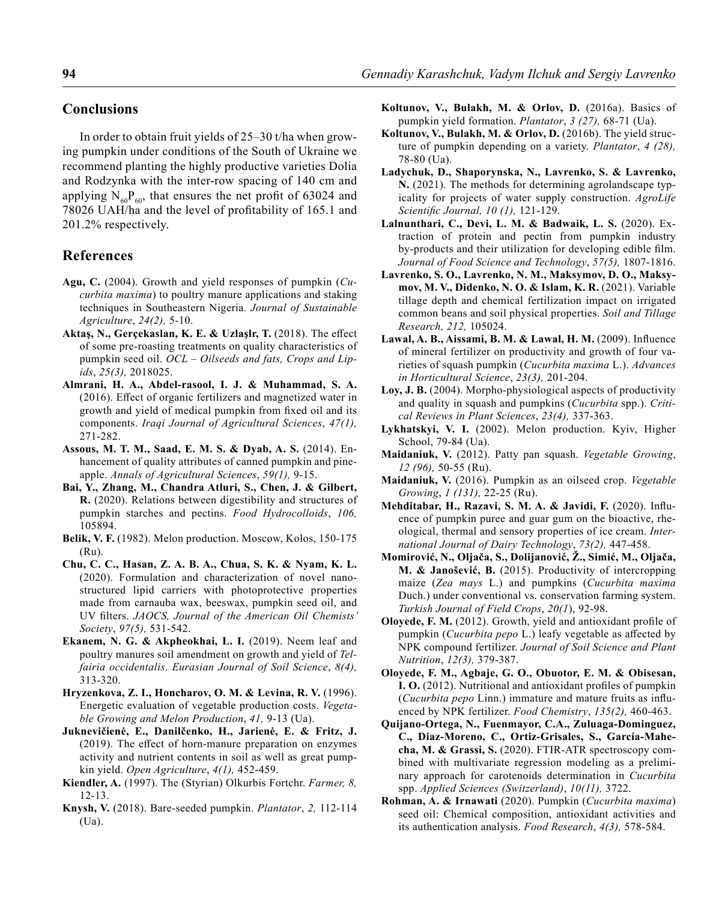### **Conclusions**

In order to obtain fruit yields of 25–30 t/ha when growing pumpkin under conditions of the South of Ukraine we recommend planting the highly productive varieties Dolia and Rodzynka with the inter-row spacing of 140 cm and applying  $N_{60}P_{60}$ , that ensures the net profit of 63024 and 78026 UAH/ha and the level of profitability of 165.1 and 201.2% respectively.

## **References**

- **Agu, C.** (2004). Growth and yield responses of pumpkin (*Cucurbita maxima*) to poultry manure applications and staking techniques in Southeastern Nigeria. *Journal of Sustainable Agriculture*, *24(2),* 5-10.
- **Aktaş, N., Gerçekaslan, K. E. & Uzlaşlr, T.** (2018). The effect of some pre-roasting treatments on quality characteristics of pumpkin seed oil. *OCL – Oilseeds and fats, Crops and Lipids*, *25(3),* 2018025.
- **Almrani, H. A., Abdel-rasool, I. J. & Muhammad, S. A.**  (2016). Effect of organic fertilizers and magnetized water in growth and yield of medical pumpkin from fixed oil and its components. *Iraqi Journal of Agricultural Sciences*, *47(1),* 271-282.
- **Assous, M. T. M., Saad, E. M. S. & Dyab, A. S.** (2014). Enhancement of quality attributes of canned pumpkin and pineapple. *Annals of Agricultural Sciences*, *59(1),* 9-15.
- **Bai, Y., Zhang, M., Chandra Atluri, S., Chen, J. & Gilbert, R.** (2020). Relations between digestibility and structures of pumpkin starches and pectins. *Food Hydrocolloids*, *106,* 105894.
- **Belik, V. F.** (1982). Melon production. Moscow, Kolos, 150-175 (Ru).
- **Chu, C. C., Hasan, Z. A. B. A., Chua, S. K. & Nyam, K. L.** (2020). Formulation and characterization of novel nanostructured lipid carriers with photoprotective properties made from carnauba wax, beeswax, pumpkin seed oil, and UV filters. *JAOCS, Journal of the American Oil Chemists' Society*, *97(5),* 531-542.
- **Ekanem, N. G. & Akpheokhai, L. I.** (2019). Neem leaf and poultry manures soil amendment on growth and yield of *Telfairia occidentalis*. *Eurasian Journal of Soil Science*, *8(4),* 313-320.
- **Hryzenkova, Z. І., Honcharov, О. М. & Levina, R. V.** (1996). Energetic evaluation of vegetable production costs. *Vegetable Growing and Melon Production*, *41,* 9-13 (Ua).
- **Juknevičienė, E., Danilčenko, H., Jarienė, E. & Fritz, J.** (2019). The effect of horn-manure preparation on enzymes activity and nutrient contents in soil as well as great pumpkin yield. *Open Agriculture*, *4(1),* 452-459.
- **Kiendler, A.** (1997). The (Styrian) Olkurbis Fortchr. *Farmer, 8,* 12-13.
- **Knysh, V.** (2018). Bare-seeded pumpkin. *Plantator*, *2,* 112-114 (Ua).
- **Koltunov, V., Bulakh, М. & Orlov, D.** (2016a). Basics of pumpkin yield formation. *Plantator*, *3 (27),* 68-71 (Ua).
- **Koltunov, V., Bulakh, М. & Orlov, D.** (2016b). The yield structure of pumpkin depending on a variety. *Plantator*, *4 (28),* 78-80 (Ua).
- **Ladychuk, D., Shaporynska, N., Lavrenko, S. & Lavrenko, N.** (2021). The methods for determining agrolandscape typicality for projects of water supply construction. *AgroLife Scientific Journal, 10 (1),* 121-129.
- **Lalnunthari, C., Devi, L. M. & Badwaik, L. S. (2020).** Extraction of protein and pectin from pumpkin industry by-products and their utilization for developing edible film. *Journal of Food Science and Technology*, *57(5),* 1807-1816.
- **Lavrenko, S. O., Lavrenko, N. M., Maksymov, D. O., Maksymov, M. V., Didenko, N. O. & Islam, K. R.** (2021). Variable tillage depth and chemical fertilization impact on irrigated common beans and soil physical properties. *Soil and Tillage Research, 212,* 105024.
- **Lawal, A. B., Aissami, B. M. & Lawal, H. M.** (2009). Influence of mineral fertilizer on productivity and growth of four varieties of squash pumpkin (*Cucurbita maxima* L.). *Advances in Horticultural Science*, *23(3),* 201-204.
- **Loy, J. B.** (2004). Morpho-physiological aspects of productivity and quality in squash and pumpkins (*Cucurbita* spp.). *Critical Reviews in Plant Sciences*, *23(4),* 337-363.
- **Lykhatskyi, V. І.** (2002). Melon production. Kyiv, Higher School, 79-84 (Ua).
- **Maidaniuk, V.** (2012). Patty pan squash. *Vegetable Growing*, *12 (96),* 50-55 (Ru).
- **Maidaniuk, V.** (2016). Pumpkin as an oilseed crop. *Vegetable Growing*, *1 (131),* 22-25 (Ru).
- **Mehditabar, H., Razavi, S. M. A. & Javidi, F.** (2020). Influence of pumpkin puree and guar gum on the bioactive, rheological, thermal and sensory properties of ice cream. *International Journal of Dairy Technology*, *73(2),* 447-458.
- **Momirović, N., Oljača, S., Dolijanović, Ž., Simić, M., Oljača, M. & Janošević, B.** (2015). Productivity of intercropping maize (*Zea mays* L.) and pumpkins (*Cucurbita maxima*  Duch.) under conventional vs. conservation farming system. *Turkish Journal of Field Crops*, *20(1*), 92-98.
- **Oloyede, F. M.** (2012). Growth, yield and antioxidant profile of pumpkin (*Cucurbita pepo* L.) leafy vegetable as affected by NPK compound fertilizer. *Journal of Soil Science and Plant Nutrition*, *12(3),* 379-387.
- **Oloyede, F. M., Agbaje, G. O., Obuotor, E. M. & Obisesan, I. O.** (2012). Nutritional and antioxidant profiles of pumpkin (*Cucurbita pepo* Linn.) immature and mature fruits as influenced by NPK fertilizer. *Food Chemistry*, *135(2),* 460-463.
- **Quijano-Ortega, N., Fuenmayor, C.A., Zuluaga-Dominguez, C., Diaz-Moreno, C., Ortiz-Grisales, S., García-Mahecha, M. & Grassi, S.** (2020). FTIR-ATR spectroscopy combined with multivariate regression modeling as a preliminary approach for carotenoids determination in *Cucurbita*  spp. *Applied Sciences (Switzerland)*, *10(11),* 3722.
- **Rohman, A. & Irnawati** (2020). Pumpkin (*Cucurbita maxima*) seed oil: Chemical composition, antioxidant activities and its authentication analysis. *Food Research*, *4(3),* 578-584.